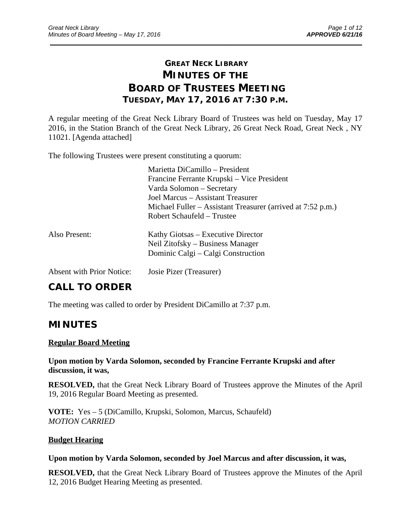# **GREAT NECK LIBRARY MINUTES OF THE BOARD OF TRUSTEES MEETING TUESDAY, MAY 17, 2016 AT 7:30 P.M.**

\_\_\_\_\_\_\_\_\_\_\_\_\_\_\_\_\_\_\_\_\_\_\_\_\_\_\_\_\_\_\_\_\_\_\_\_\_\_\_\_\_\_\_\_\_\_\_\_\_\_\_\_\_\_\_\_\_\_\_\_\_\_\_\_\_\_\_\_\_\_\_\_\_\_\_\_\_\_\_\_\_\_\_\_\_\_\_\_\_\_\_\_\_

A regular meeting of the Great Neck Library Board of Trustees was held on Tuesday, May 17 2016, in the Station Branch of the Great Neck Library, 26 Great Neck Road, Great Neck , NY 11021. [Agenda attached]

The following Trustees were present constituting a quorum:

|                                  | Marietta DiCamillo - President                              |
|----------------------------------|-------------------------------------------------------------|
|                                  | Francine Ferrante Krupski – Vice President                  |
|                                  | Varda Solomon – Secretary                                   |
|                                  | Joel Marcus – Assistant Treasurer                           |
|                                  | Michael Fuller – Assistant Treasurer (arrived at 7:52 p.m.) |
|                                  | Robert Schaufeld – Trustee                                  |
| Also Present:                    | Kathy Giotsas – Executive Director                          |
|                                  | Neil Zitofsky – Business Manager                            |
|                                  | Dominic Calgi – Calgi Construction                          |
| <b>Absent with Prior Notice:</b> | Josie Pizer (Treasurer)                                     |

# **CALL TO ORDER**

The meeting was called to order by President DiCamillo at 7:37 p.m.

# **MINUTES**

### **Regular Board Meeting**

## **Upon motion by Varda Solomon, seconded by Francine Ferrante Krupski and after discussion, it was,**

**RESOLVED,** that the Great Neck Library Board of Trustees approve the Minutes of the April 19, 2016 Regular Board Meeting as presented.

**VOTE:** Yes – 5 (DiCamillo, Krupski, Solomon, Marcus, Schaufeld) *MOTION CARRIED* 

# **Budget Hearing**

### **Upon motion by Varda Solomon, seconded by Joel Marcus and after discussion, it was,**

**RESOLVED,** that the Great Neck Library Board of Trustees approve the Minutes of the April 12, 2016 Budget Hearing Meeting as presented.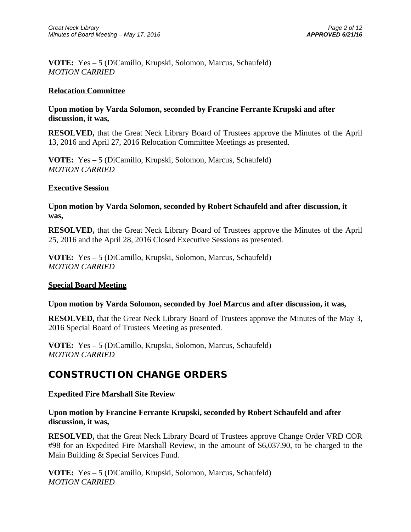**VOTE:** Yes – 5 (DiCamillo, Krupski, Solomon, Marcus, Schaufeld) *MOTION CARRIED* 

### **Relocation Committee**

## **Upon motion by Varda Solomon, seconded by Francine Ferrante Krupski and after discussion, it was,**

**RESOLVED,** that the Great Neck Library Board of Trustees approve the Minutes of the April 13, 2016 and April 27, 2016 Relocation Committee Meetings as presented.

**VOTE:** Yes – 5 (DiCamillo, Krupski, Solomon, Marcus, Schaufeld) *MOTION CARRIED* 

### **Executive Session**

# **Upon motion by Varda Solomon, seconded by Robert Schaufeld and after discussion, it was,**

**RESOLVED,** that the Great Neck Library Board of Trustees approve the Minutes of the April 25, 2016 and the April 28, 2016 Closed Executive Sessions as presented.

**VOTE:** Yes – 5 (DiCamillo, Krupski, Solomon, Marcus, Schaufeld) *MOTION CARRIED* 

### **Special Board Meeting**

### **Upon motion by Varda Solomon, seconded by Joel Marcus and after discussion, it was,**

**RESOLVED,** that the Great Neck Library Board of Trustees approve the Minutes of the May 3, 2016 Special Board of Trustees Meeting as presented.

**VOTE:** Yes – 5 (DiCamillo, Krupski, Solomon, Marcus, Schaufeld) *MOTION CARRIED* 

# **CONSTRUCTION CHANGE ORDERS**

### **Expedited Fire Marshall Site Review**

## **Upon motion by Francine Ferrante Krupski, seconded by Robert Schaufeld and after discussion, it was,**

**RESOLVED,** that the Great Neck Library Board of Trustees approve Change Order VRD COR #98 for an Expedited Fire Marshall Review, in the amount of \$6,037.90, to be charged to the Main Building & Special Services Fund.

**VOTE:** Yes – 5 (DiCamillo, Krupski, Solomon, Marcus, Schaufeld) *MOTION CARRIED*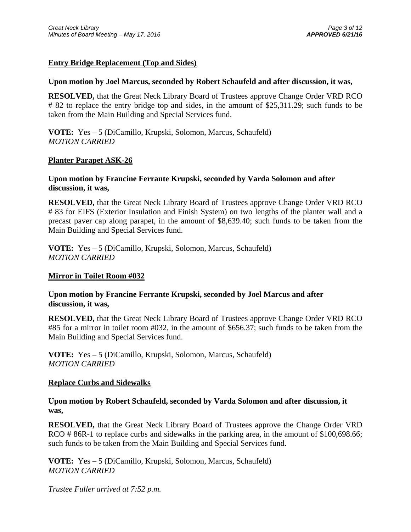## **Entry Bridge Replacement (Top and Sides)**

#### **Upon motion by Joel Marcus, seconded by Robert Schaufeld and after discussion, it was,**

**RESOLVED,** that the Great Neck Library Board of Trustees approve Change Order VRD RCO # 82 to replace the entry bridge top and sides, in the amount of \$25,311.29; such funds to be taken from the Main Building and Special Services fund.

**VOTE:** Yes – 5 (DiCamillo, Krupski, Solomon, Marcus, Schaufeld) *MOTION CARRIED* 

### **Planter Parapet ASK-26**

### **Upon motion by Francine Ferrante Krupski, seconded by Varda Solomon and after discussion, it was,**

**RESOLVED,** that the Great Neck Library Board of Trustees approve Change Order VRD RCO # 83 for EIFS (Exterior Insulation and Finish System) on two lengths of the planter wall and a precast paver cap along parapet, in the amount of \$8,639.40; such funds to be taken from the Main Building and Special Services fund.

**VOTE:** Yes – 5 (DiCamillo, Krupski, Solomon, Marcus, Schaufeld) *MOTION CARRIED* 

### **Mirror in Toilet Room #032**

## **Upon motion by Francine Ferrante Krupski, seconded by Joel Marcus and after discussion, it was,**

**RESOLVED,** that the Great Neck Library Board of Trustees approve Change Order VRD RCO #85 for a mirror in toilet room #032, in the amount of \$656.37; such funds to be taken from the Main Building and Special Services fund.

**VOTE:** Yes – 5 (DiCamillo, Krupski, Solomon, Marcus, Schaufeld) *MOTION CARRIED* 

### **Replace Curbs and Sidewalks**

## **Upon motion by Robert Schaufeld, seconded by Varda Solomon and after discussion, it was,**

**RESOLVED,** that the Great Neck Library Board of Trustees approve the Change Order VRD RCO # 86R-1 to replace curbs and sidewalks in the parking area, in the amount of \$100,698.66; such funds to be taken from the Main Building and Special Services fund.

**VOTE:** Yes – 5 (DiCamillo, Krupski, Solomon, Marcus, Schaufeld) *MOTION CARRIED* 

*Trustee Fuller arrived at 7:52 p.m.*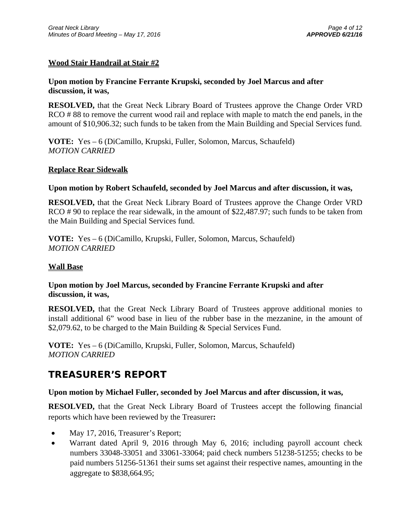## **Wood Stair Handrail at Stair #2**

# **Upon motion by Francine Ferrante Krupski, seconded by Joel Marcus and after discussion, it was,**

**RESOLVED,** that the Great Neck Library Board of Trustees approve the Change Order VRD RCO #88 to remove the current wood rail and replace with maple to match the end panels, in the amount of \$10,906.32; such funds to be taken from the Main Building and Special Services fund.

**VOTE:** Yes – 6 (DiCamillo, Krupski, Fuller, Solomon, Marcus, Schaufeld) *MOTION CARRIED* 

### **Replace Rear Sidewalk**

#### **Upon motion by Robert Schaufeld, seconded by Joel Marcus and after discussion, it was,**

**RESOLVED,** that the Great Neck Library Board of Trustees approve the Change Order VRD RCO #90 to replace the rear sidewalk, in the amount of \$22,487.97; such funds to be taken from the Main Building and Special Services fund.

**VOTE:** Yes – 6 (DiCamillo, Krupski, Fuller, Solomon, Marcus, Schaufeld) *MOTION CARRIED* 

#### **Wall Base**

## **Upon motion by Joel Marcus, seconded by Francine Ferrante Krupski and after discussion, it was,**

**RESOLVED,** that the Great Neck Library Board of Trustees approve additional monies to install additional 6" wood base in lieu of the rubber base in the mezzanine, in the amount of \$2,079.62, to be charged to the Main Building & Special Services Fund.

**VOTE:** Yes – 6 (DiCamillo, Krupski, Fuller, Solomon, Marcus, Schaufeld) *MOTION CARRIED* 

# **TREASURER'S REPORT**

### **Upon motion by Michael Fuller, seconded by Joel Marcus and after discussion, it was,**

**RESOLVED,** that the Great Neck Library Board of Trustees accept the following financial reports which have been reviewed by the Treasurer**:** 

- May 17, 2016, Treasurer's Report;
- Warrant dated April 9, 2016 through May 6, 2016; including payroll account check numbers 33048-33051 and 33061-33064; paid check numbers 51238-51255; checks to be paid numbers 51256-51361 their sums set against their respective names, amounting in the aggregate to \$838,664.95;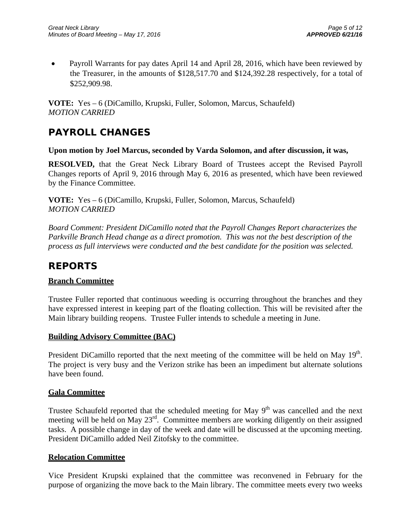• Payroll Warrants for pay dates April 14 and April 28, 2016, which have been reviewed by the Treasurer, in the amounts of \$128,517.70 and \$124,392.28 respectively, for a total of \$252,909.98.

**VOTE:** Yes – 6 (DiCamillo, Krupski, Fuller, Solomon, Marcus, Schaufeld) *MOTION CARRIED* 

# **PAYROLL CHANGES**

#### **Upon motion by Joel Marcus, seconded by Varda Solomon, and after discussion, it was,**

**RESOLVED,** that the Great Neck Library Board of Trustees accept the Revised Payroll Changes reports of April 9, 2016 through May 6, 2016 as presented, which have been reviewed by the Finance Committee.

**VOTE:** Yes – 6 (DiCamillo, Krupski, Fuller, Solomon, Marcus, Schaufeld) *MOTION CARRIED* 

*Board Comment: President DiCamillo noted that the Payroll Changes Report characterizes the Parkville Branch Head change as a direct promotion. This was not the best description of the process as full interviews were conducted and the best candidate for the position was selected.* 

# **REPORTS**

### **Branch Committee**

Trustee Fuller reported that continuous weeding is occurring throughout the branches and they have expressed interest in keeping part of the floating collection. This will be revisited after the Main library building reopens. Trustee Fuller intends to schedule a meeting in June.

### **Building Advisory Committee (BAC)**

President DiCamillo reported that the next meeting of the committee will be held on May 19<sup>th</sup>. The project is very busy and the Verizon strike has been an impediment but alternate solutions have been found.

### **Gala Committee**

Trustee Schaufeld reported that the scheduled meeting for May  $9<sup>th</sup>$  was cancelled and the next meeting will be held on May 23<sup>rd</sup>. Committee members are working diligently on their assigned tasks. A possible change in day of the week and date will be discussed at the upcoming meeting. President DiCamillo added Neil Zitofsky to the committee.

### **Relocation Committee**

Vice President Krupski explained that the committee was reconvened in February for the purpose of organizing the move back to the Main library. The committee meets every two weeks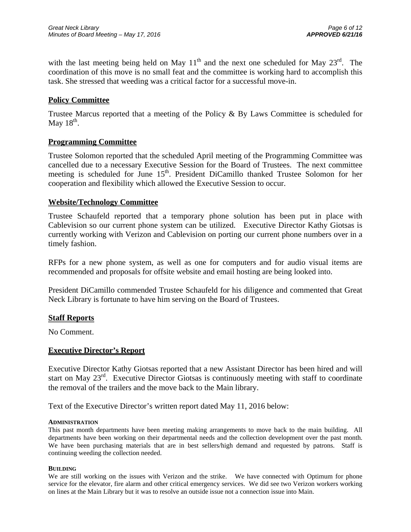with the last meeting being held on May  $11<sup>th</sup>$  and the next one scheduled for May  $23<sup>rd</sup>$ . The coordination of this move is no small feat and the committee is working hard to accomplish this task. She stressed that weeding was a critical factor for a successful move-in.

## **Policy Committee**

Trustee Marcus reported that a meeting of the Policy & By Laws Committee is scheduled for May  $18<sup>th</sup>$ .

### **Programming Committee**

Trustee Solomon reported that the scheduled April meeting of the Programming Committee was cancelled due to a necessary Executive Session for the Board of Trustees. The next committee meeting is scheduled for June 15<sup>th</sup>. President DiCamillo thanked Trustee Solomon for her cooperation and flexibility which allowed the Executive Session to occur.

### **Website/Technology Committee**

Trustee Schaufeld reported that a temporary phone solution has been put in place with Cablevision so our current phone system can be utilized. Executive Director Kathy Giotsas is currently working with Verizon and Cablevision on porting our current phone numbers over in a timely fashion.

RFPs for a new phone system, as well as one for computers and for audio visual items are recommended and proposals for offsite website and email hosting are being looked into.

President DiCamillo commended Trustee Schaufeld for his diligence and commented that Great Neck Library is fortunate to have him serving on the Board of Trustees.

#### **Staff Reports**

No Comment.

#### **Executive Director's Report**

Executive Director Kathy Giotsas reported that a new Assistant Director has been hired and will start on May 23<sup>rd</sup>. Executive Director Giotsas is continuously meeting with staff to coordinate the removal of the trailers and the move back to the Main library.

Text of the Executive Director's written report dated May 11, 2016 below:

#### **ADMINISTRATION**

This past month departments have been meeting making arrangements to move back to the main building. All departments have been working on their departmental needs and the collection development over the past month. We have been purchasing materials that are in best sellers/high demand and requested by patrons. Staff is continuing weeding the collection needed.

#### **BUILDING**

We are still working on the issues with Verizon and the strike. We have connected with Optimum for phone service for the elevator, fire alarm and other critical emergency services. We did see two Verizon workers working on lines at the Main Library but it was to resolve an outside issue not a connection issue into Main.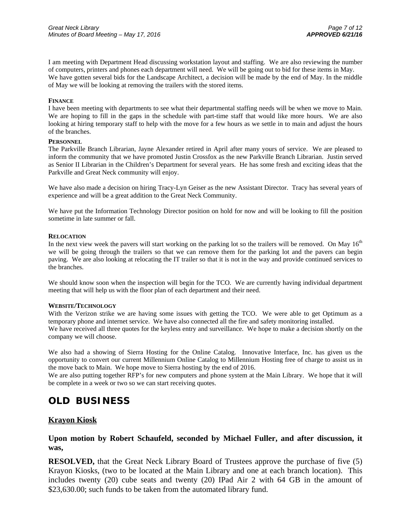I am meeting with Department Head discussing workstation layout and staffing. We are also reviewing the number of computers, printers and phones each department will need. We will be going out to bid for these items in May. We have gotten several bids for the Landscape Architect, a decision will be made by the end of May. In the middle of May we will be looking at removing the trailers with the stored items.

#### **FINANCE**

I have been meeting with departments to see what their departmental staffing needs will be when we move to Main. We are hoping to fill in the gaps in the schedule with part-time staff that would like more hours. We are also looking at hiring temporary staff to help with the move for a few hours as we settle in to main and adjust the hours of the branches.

#### **PERSONNEL**

The Parkville Branch Librarian, Jayne Alexander retired in April after many yours of service. We are pleased to inform the community that we have promoted Justin Crossfox as the new Parkville Branch Librarian. Justin served as Senior II Librarian in the Children's Department for several years. He has some fresh and exciting ideas that the Parkville and Great Neck community will enjoy.

We have also made a decision on hiring Tracy-Lyn Geiser as the new Assistant Director. Tracy has several years of experience and will be a great addition to the Great Neck Community.

We have put the Information Technology Director position on hold for now and will be looking to fill the position sometime in late summer or fall.

#### **RELOCATION**

In the next view week the pavers will start working on the parking lot so the trailers will be removed. On May  $16<sup>th</sup>$ we will be going through the trailers so that we can remove them for the parking lot and the pavers can begin paving. We are also looking at relocating the IT trailer so that it is not in the way and provide continued services to the branches.

We should know soon when the inspection will begin for the TCO. We are currently having individual department meeting that will help us with the floor plan of each department and their need.

#### **WEBSITE/TECHNOLOGY**

With the Verizon strike we are having some issues with getting the TCO. We were able to get Optimum as a temporary phone and internet service. We have also connected all the fire and safety monitoring installed. We have received all three quotes for the keyless entry and surveillance. We hope to make a decision shortly on the company we will choose.

We also had a showing of Sierra Hosting for the Online Catalog. Innovative Interface, Inc. has given us the opportunity to convert our current Millennium Online Catalog to Millennium Hosting free of charge to assist us in the move back to Main. We hope move to Sierra hosting by the end of 2016.

We are also putting together RFP's for new computers and phone system at the Main Library. We hope that it will be complete in a week or two so we can start receiving quotes.

# **OLD BUSINESS**

#### **Krayon Kiosk**

**Upon motion by Robert Schaufeld, seconded by Michael Fuller, and after discussion, it was,** 

**RESOLVED,** that the Great Neck Library Board of Trustees approve the purchase of five (5) Krayon Kiosks, (two to be located at the Main Library and one at each branch location). This includes twenty (20) cube seats and twenty (20) IPad Air 2 with 64 GB in the amount of \$23,630.00; such funds to be taken from the automated library fund.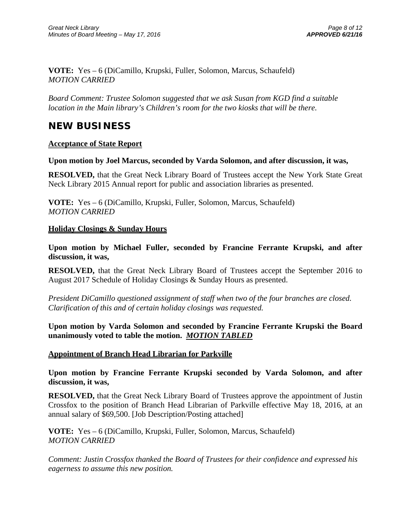**VOTE:** Yes – 6 (DiCamillo, Krupski, Fuller, Solomon, Marcus, Schaufeld) *MOTION CARRIED* 

*Board Comment: Trustee Solomon suggested that we ask Susan from KGD find a suitable location in the Main library's Children's room for the two kiosks that will be there.* 

# **NEW BUSINESS**

### **Acceptance of State Report**

### **Upon motion by Joel Marcus, seconded by Varda Solomon, and after discussion, it was,**

**RESOLVED,** that the Great Neck Library Board of Trustees accept the New York State Great Neck Library 2015 Annual report for public and association libraries as presented.

**VOTE:** Yes – 6 (DiCamillo, Krupski, Fuller, Solomon, Marcus, Schaufeld) *MOTION CARRIED* 

### **Holiday Closings & Sunday Hours**

**Upon motion by Michael Fuller, seconded by Francine Ferrante Krupski, and after discussion, it was,** 

**RESOLVED,** that the Great Neck Library Board of Trustees accept the September 2016 to August 2017 Schedule of Holiday Closings & Sunday Hours as presented.

*President DiCamillo questioned assignment of staff when two of the four branches are closed. Clarification of this and of certain holiday closings was requested.* 

**Upon motion by Varda Solomon and seconded by Francine Ferrante Krupski the Board unanimously voted to table the motion.** *MOTION TABLED*

### **Appointment of Branch Head Librarian for Parkville**

**Upon motion by Francine Ferrante Krupski seconded by Varda Solomon, and after discussion, it was,** 

**RESOLVED,** that the Great Neck Library Board of Trustees approve the appointment of Justin Crossfox to the position of Branch Head Librarian of Parkville effective May 18, 2016, at an annual salary of \$69,500. [Job Description/Posting attached]

**VOTE:** Yes – 6 (DiCamillo, Krupski, Fuller, Solomon, Marcus, Schaufeld) *MOTION CARRIED* 

*Comment: Justin Crossfox thanked the Board of Trustees for their confidence and expressed his eagerness to assume this new position.*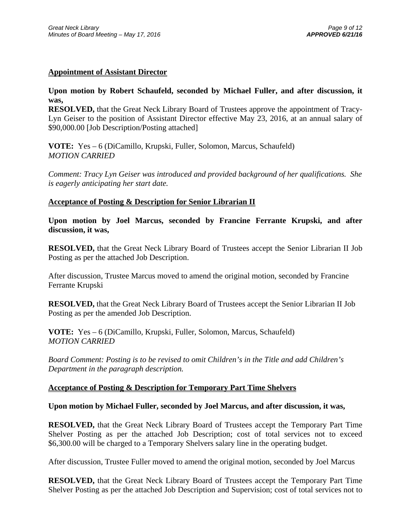## **Appointment of Assistant Director**

# **Upon motion by Robert Schaufeld, seconded by Michael Fuller, and after discussion, it was,**

**RESOLVED,** that the Great Neck Library Board of Trustees approve the appointment of Tracy-Lyn Geiser to the position of Assistant Director effective May 23, 2016, at an annual salary of \$90,000.00 [Job Description/Posting attached]

**VOTE:** Yes – 6 (DiCamillo, Krupski, Fuller, Solomon, Marcus, Schaufeld) *MOTION CARRIED* 

*Comment: Tracy Lyn Geiser was introduced and provided background of her qualifications. She is eagerly anticipating her start date.* 

### **Acceptance of Posting & Description for Senior Librarian II**

**Upon motion by Joel Marcus, seconded by Francine Ferrante Krupski, and after discussion, it was,** 

**RESOLVED,** that the Great Neck Library Board of Trustees accept the Senior Librarian II Job Posting as per the attached Job Description.

After discussion, Trustee Marcus moved to amend the original motion, seconded by Francine Ferrante Krupski

**RESOLVED,** that the Great Neck Library Board of Trustees accept the Senior Librarian II Job Posting as per the amended Job Description.

**VOTE:** Yes – 6 (DiCamillo, Krupski, Fuller, Solomon, Marcus, Schaufeld) *MOTION CARRIED* 

*Board Comment: Posting is to be revised to omit Children's in the Title and add Children's Department in the paragraph description.* 

### **Acceptance of Posting & Description for Temporary Part Time Shelvers**

### **Upon motion by Michael Fuller, seconded by Joel Marcus, and after discussion, it was,**

**RESOLVED,** that the Great Neck Library Board of Trustees accept the Temporary Part Time Shelver Posting as per the attached Job Description; cost of total services not to exceed \$6,300.00 will be charged to a Temporary Shelvers salary line in the operating budget.

After discussion, Trustee Fuller moved to amend the original motion, seconded by Joel Marcus

**RESOLVED,** that the Great Neck Library Board of Trustees accept the Temporary Part Time Shelver Posting as per the attached Job Description and Supervision; cost of total services not to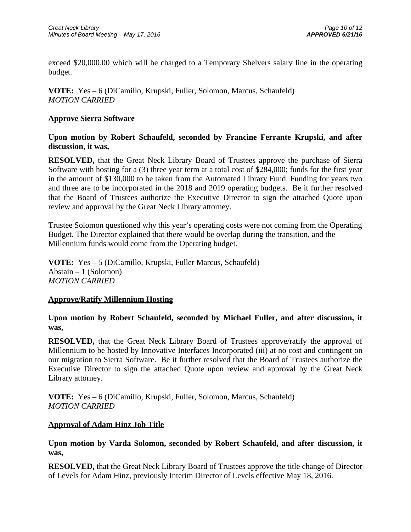exceed \$20,000.00 which will be charged to a Temporary Shelvers salary line in the operating budget.

**VOTE:** Yes – 6 (DiCamillo, Krupski, Fuller, Solomon, Marcus, Schaufeld) *MOTION CARRIED* 

### **Approve Sierra Software**

**Upon motion by Robert Schaufeld, seconded by Francine Ferrante Krupski, and after discussion, it was,** 

**RESOLVED,** that the Great Neck Library Board of Trustees approve the purchase of Sierra Software with hosting for a (3) three year term at a total cost of \$284,000; funds for the first year in the amount of \$130,000 to be taken from the Automated Library Fund. Funding for years two and three are to be incorporated in the 2018 and 2019 operating budgets. Be it further resolved that the Board of Trustees authorize the Executive Director to sign the attached Quote upon review and approval by the Great Neck Library attorney.

Trustee Solomon questioned why this year's operating costs were not coming from the Operating Budget. The Director explained that there would be overlap during the transition, and the Millennium funds would come from the Operating budget.

**VOTE:** Yes – 5 (DiCamillo, Krupski, Fuller Marcus, Schaufeld) Abstain – 1 (Solomon) *MOTION CARRIED* 

### **Approve/Ratify Millennium Hosting**

**Upon motion by Robert Schaufeld, seconded by Michael Fuller, and after discussion, it was,** 

**RESOLVED,** that the Great Neck Library Board of Trustees approve/ratify the approval of Millennium to be hosted by Innovative Interfaces Incorporated (iii) at no cost and contingent on our migration to Sierra Software. Be it further resolved that the Board of Trustees authorize the Executive Director to sign the attached Quote upon review and approval by the Great Neck Library attorney.

**VOTE:** Yes – 6 (DiCamillo, Krupski, Fuller, Solomon, Marcus, Schaufeld) *MOTION CARRIED* 

### **Approval of Adam Hinz Job Title**

### **Upon motion by Varda Solomon, seconded by Robert Schaufeld, and after discussion, it was,**

**RESOLVED,** that the Great Neck Library Board of Trustees approve the title change of Director of Levels for Adam Hinz, previously Interim Director of Levels effective May 18, 2016.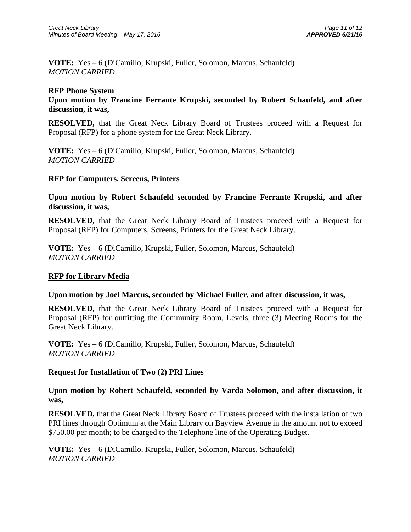**VOTE:** Yes – 6 (DiCamillo, Krupski, Fuller, Solomon, Marcus, Schaufeld) *MOTION CARRIED* 

### **RFP Phone System**

**Upon motion by Francine Ferrante Krupski, seconded by Robert Schaufeld, and after discussion, it was,** 

**RESOLVED,** that the Great Neck Library Board of Trustees proceed with a Request for Proposal (RFP) for a phone system for the Great Neck Library.

**VOTE:** Yes – 6 (DiCamillo, Krupski, Fuller, Solomon, Marcus, Schaufeld) *MOTION CARRIED* 

### **RFP for Computers, Screens, Printers**

**Upon motion by Robert Schaufeld seconded by Francine Ferrante Krupski, and after discussion, it was,** 

**RESOLVED,** that the Great Neck Library Board of Trustees proceed with a Request for Proposal (RFP) for Computers, Screens, Printers for the Great Neck Library.

**VOTE:** Yes – 6 (DiCamillo, Krupski, Fuller, Solomon, Marcus, Schaufeld) *MOTION CARRIED* 

### **RFP for Library Media**

### **Upon motion by Joel Marcus, seconded by Michael Fuller, and after discussion, it was,**

**RESOLVED,** that the Great Neck Library Board of Trustees proceed with a Request for Proposal (RFP) for outfitting the Community Room, Levels, three (3) Meeting Rooms for the Great Neck Library.

**VOTE:** Yes – 6 (DiCamillo, Krupski, Fuller, Solomon, Marcus, Schaufeld) *MOTION CARRIED* 

### **Request for Installation of Two (2) PRI Lines**

**Upon motion by Robert Schaufeld, seconded by Varda Solomon, and after discussion, it was,** 

**RESOLVED,** that the Great Neck Library Board of Trustees proceed with the installation of two PRI lines through Optimum at the Main Library on Bayview Avenue in the amount not to exceed \$750.00 per month; to be charged to the Telephone line of the Operating Budget.

**VOTE:** Yes – 6 (DiCamillo, Krupski, Fuller, Solomon, Marcus, Schaufeld) *MOTION CARRIED*